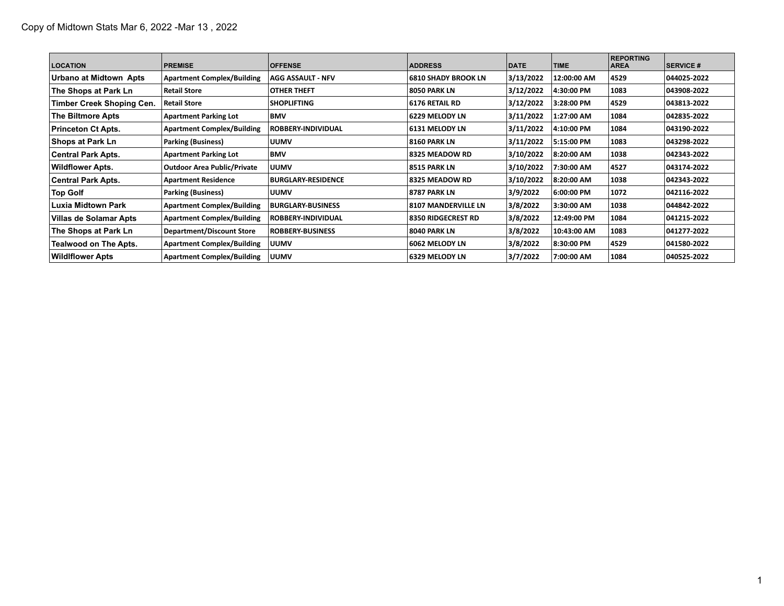| <b>LOCATION</b>              | <b>PREMISE</b>                     | <b>OFFENSE</b>            | <b>ADDRESS</b>             | <b>DATE</b> | <b>TIME</b> | <b>REPORTING</b><br><b>AREA</b> | <b>SERVICE #</b> |
|------------------------------|------------------------------------|---------------------------|----------------------------|-------------|-------------|---------------------------------|------------------|
| Urbano at Midtown Apts       | <b>Apartment Complex/Building</b>  | <b>AGG ASSAULT - NFV</b>  | <b>6810 SHADY BROOK LN</b> | 3/13/2022   | 12:00:00 AM | 4529                            | 044025-2022      |
| The Shops at Park Ln         | <b>Retail Store</b>                | OTHER THEFT               | <b>8050 PARK LN</b>        | 3/12/2022   | 4:30:00 PM  | 1083                            | 043908-2022      |
| Timber Creek Shoping Cen.    | <b>Retail Store</b>                | <b>SHOPLIFTING</b>        | 6176 RETAIL RD             | 3/12/2022   | 3:28:00 PM  | 4529                            | 043813-2022      |
| The Biltmore Apts            | <b>Apartment Parking Lot</b>       | <b>BMV</b>                | 6229 MELODY LN             | 3/11/2022   | 1:27:00 AM  | 1084                            | 042835-2022      |
| <b>Princeton Ct Apts.</b>    | <b>Apartment Complex/Building</b>  | <b>ROBBERY-INDIVIDUAL</b> | 6131 MELODY LN             | 3/11/2022   | 4:10:00 PM  | 1084                            | 043190-2022      |
| Shops at Park Ln             | Parking (Business)                 | <b>UUMV</b>               | <b>8160 PARK LN</b>        | 3/11/2022   | 5:15:00 PM  | 1083                            | 043298-2022      |
| Central Park Apts.           | <b>Apartment Parking Lot</b>       | <b>BMV</b>                | 8325 MEADOW RD             | 3/10/2022   | 8:20:00 AM  | 1038                            | 042343-2022      |
| Wildflower Apts.             | <b>Outdoor Area Public/Private</b> | <b>UUMV</b>               | <b>8515 PARK LN</b>        | 3/10/2022   | 7:30:00 AM  | 4527                            | 043174-2022      |
| <b>Central Park Apts.</b>    | <b>Apartment Residence</b>         | <b>BURGLARY-RESIDENCE</b> | 8325 MEADOW RD             | 3/10/2022   | 8:20:00 AM  | 1038                            | 042343-2022      |
| <b>Top Golf</b>              | <b>Parking (Business)</b>          | <b>UUMV</b>               | 18787 PARK LN              | 3/9/2022    | 6:00:00 PM  | 1072                            | 042116-2022      |
| Luxia Midtown Park           | <b>Apartment Complex/Building</b>  | BURGLARY BUSINESS         | 8107 MANDERVILLE LN        | 3/8/2022    | 3:30:00 AM  | 1038                            | 044842-2022      |
| Villas de Solamar Apts       | <b>Apartment Complex/Building</b>  | ROBBERY-INDIVIDUAL        | <b>8350 RIDGECREST RD</b>  | 3/8/2022    | 12:49:00 PM | 1084                            | 041215-2022      |
| The Shops at Park Ln         | <b>Department/Discount Store</b>   | <b>ROBBERY-BUSINESS</b>   | 8040 PARK LN               | 3/8/2022    | 10:43:00 AM | 1083                            | 041277-2022      |
| <b>Tealwood on The Apts.</b> | <b>Apartment Complex/Building</b>  | <b>UUMV</b>               | 6062 MELODY LN             | 3/8/2022    | 8:30:00 PM  | 4529                            | 041580-2022      |
| <b>WildIflower Apts</b>      | <b>Apartment Complex/Building</b>  | <b>UUMV</b>               | 6329 MELODY LN             | 3/7/2022    | 7:00:00 AM  | 1084                            | 040525-2022      |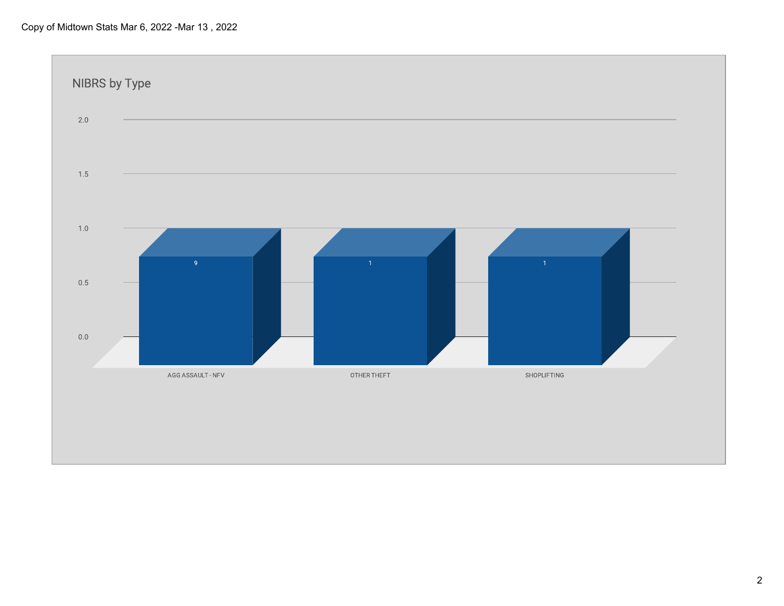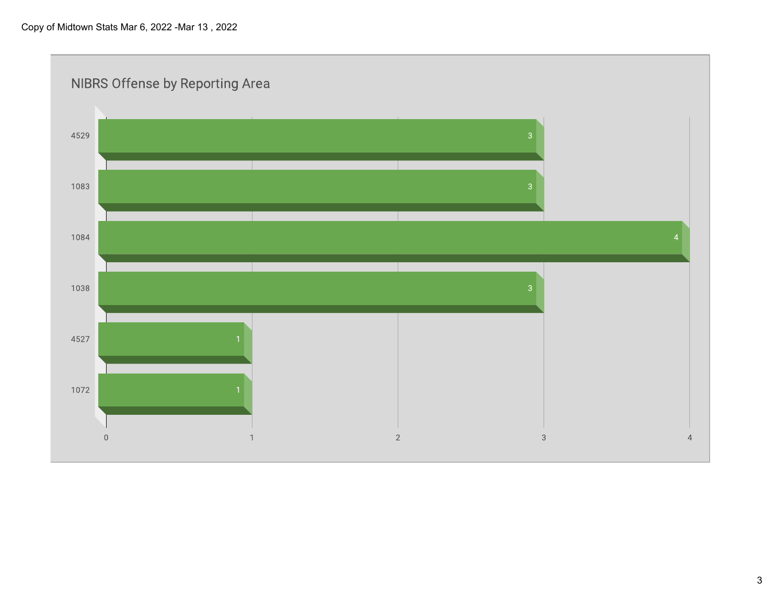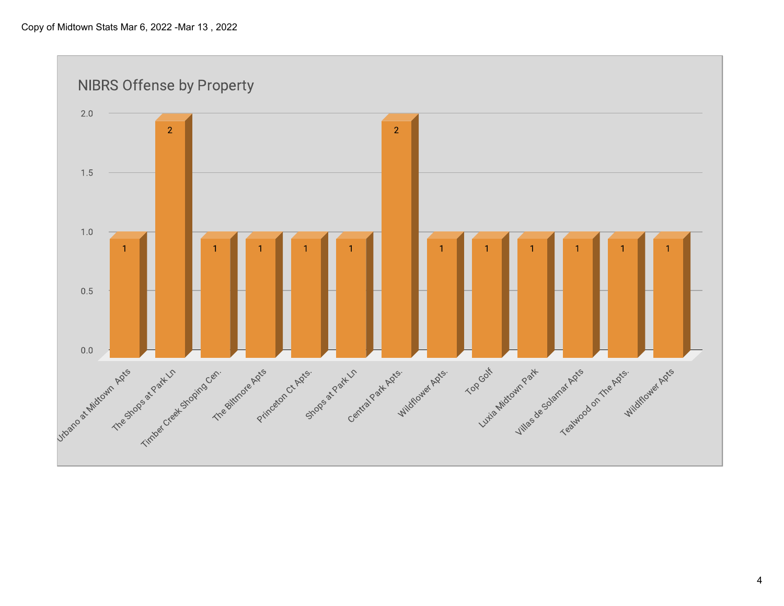